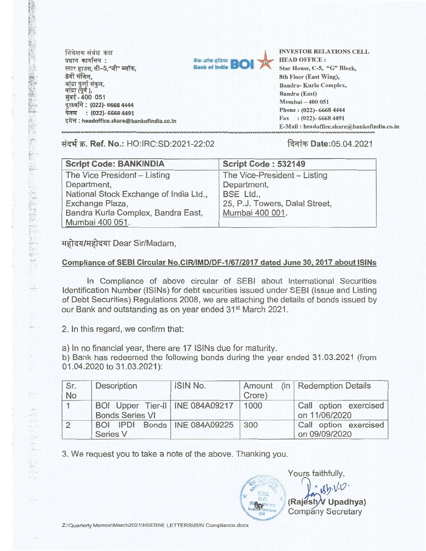**निवेशक संबंध** कक्ष **प्रधान कार्यालय:** स्टार हाउस. सी-5."जी" ब्लॉक. 8वी मंजिल, बांद्रा कुर्ला संकुल*,*<br>बांद्रा (पूर्व ), **मुंबई-400 051 VKR: (022)- 6668 4444 \*-471 : (022)- 6668 4491 : headoffice.share@bankofindia.co.in** 

第二十五 经外汇帐户



**INVESTOR RELATIONS CELL HEAD OFFICE : Star House, C-5, "G" Block, 8th Floor (East Wing), Bandra- Kurla Complex, Bandra (East) Mumbai — 400 051 Phone : (022)- 6668 4444 Fax : (022)- 6668 4491**   $E-Mail: headoffice.shape@bankofindia.co.in$ 

## संदर्भ क्र. Ref. No.: HO:IRC:SD:2021-22:02 **हिनांक Date:**05.04.2021

| <b>Script Code: BANKINDIA</b>          | Script Code: 532149            |
|----------------------------------------|--------------------------------|
| The Vice President - Listing           | The Vice-President - Listing   |
| Department,                            | Department,                    |
| National Stock Exchange of India Ltd., | BSE Ltd.,                      |
| Exchange Plaza,                        | 25, P.J. Towers, Dalal Street, |
| Bandra Kurla Complex, Bandra East,     | Mumbai 400 001.                |
| Mumbai 400 051.                        |                                |

**महोदय/महोदया Dear Sir/Madam,** 

## **Compliance of SEBI Circular No.CIR/IMD/DF-1/67/2017 dated June 30, 2017 about ISINs**

In Compliance of above circular of SEBI about International Securities Identification Number (ISINs) for debt securities issued under SEBI (Issue and Listing of Debt Securities) Regulations 2008, we are attaching the details of bonds issued by our Bank and outstanding as on year ended 31<sup>st</sup> March 2021.

2. In this regard, we confirm that:

a) In no financial year, there are 17 ISINs due for maturity.

b) Bank has redeemed the following bonds during the year ended 31.03.2021 (from 01.04.2020 to 31.03.2021):

| Sr.<br>No  | Description                                                        | ISIN No. | Crore) | Amount (in Redemption Details          |  |  |
|------------|--------------------------------------------------------------------|----------|--------|----------------------------------------|--|--|
|            | BOI Upper Tier-II   INE 084A09217   1000<br><b>Bonds Series VI</b> |          |        | Call option exercised<br>on 11/06/2020 |  |  |
| $\sqrt{2}$ | BOI IPDI Bonds INE 084A09225 300<br>Series V                       |          |        | Call option exercised<br>on 09/09/2020 |  |  |

3. We request you to take a note of the above. Thanking you.